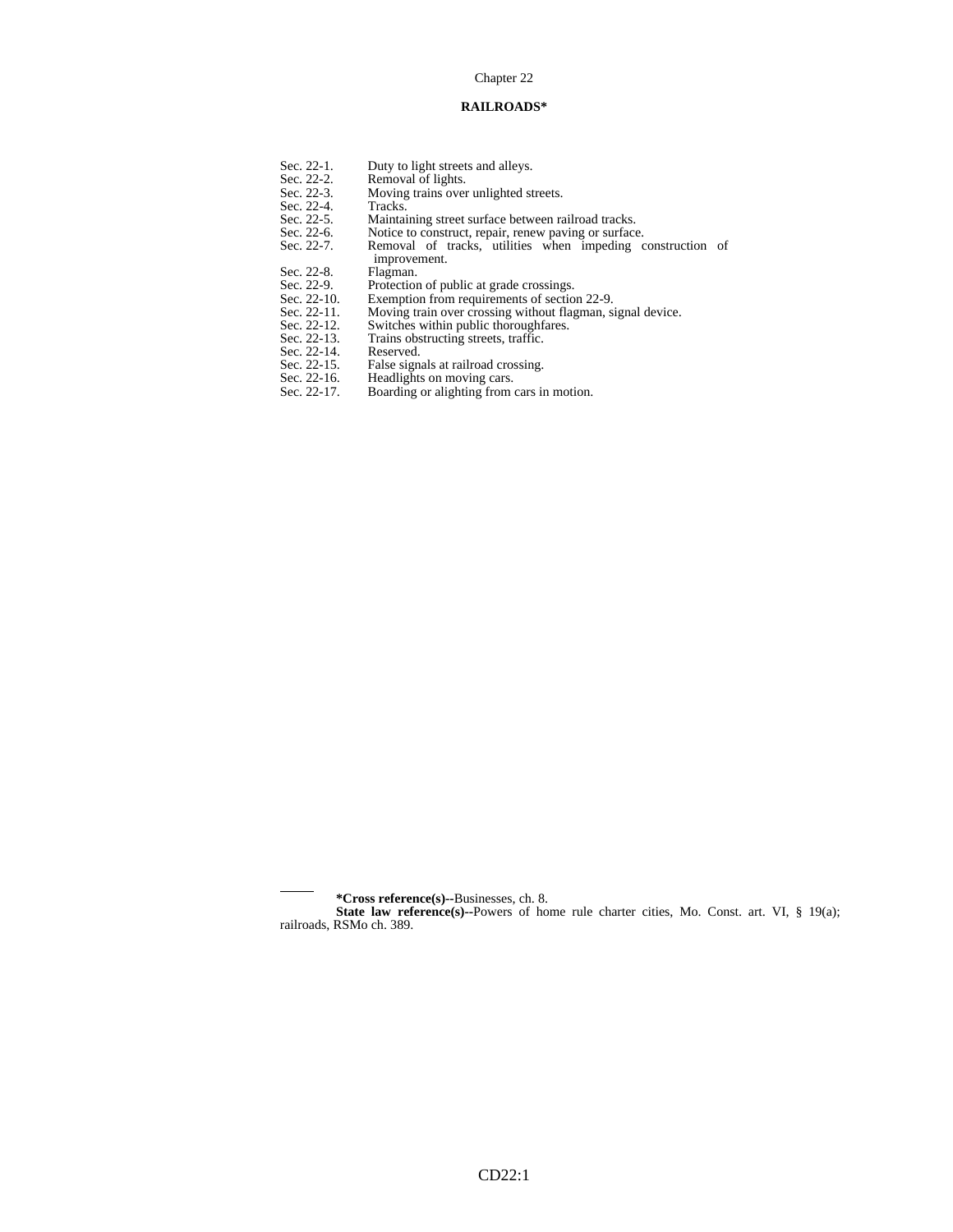#### Chapter 22

#### **RAILROADS\***

- Sec. 22-1. Duty to light streets and alleys.<br>Sec. 22-2. Removal of lights.<br>Sec. 22-3. Moving trains over unlighted st
	- Removal of lights.
	- Moving trains over unlighted streets.<br>Tracks.
		-
	- Maintaining street surface between railroad tracks.
- Sec. 22-6. Notice to construct, repair, renew paving or surface.
- Sec. 22-4.<br>Sec. 22-5.<br>Sec. 22-6.<br>Sec. 22-7. Sec. 22-7. Removal of tracks, utilities when impeding construction of improvement.<br>Flagman.
	-
- Sec. 22-8.<br>Sec. 22-9. Sec. 22-9. Protection of public at grade crossings.<br>Sec. 22-10. Exemption from requirements of section
- Sec. 22-10. Exemption from requirements of section 22-9.<br>Sec. 22-11. Moving train over crossing without flagman, si
	- Moving train over crossing without flagman, signal device.
- Sec. 22-12. Switches within public thoroughfares.
- Sec. 22-13. Trains obstructing streets, traffic. Sec. 22-12. Reviewing and<br>Sec. 22-12. Trains obs<br>Sec. 22-14. Reserved.<br>Sec. 22-15. False signal
- 
- Sec. 22-15. False signals at railroad crossing.
- Sec. 22-16. Headlights on moving cars.
- Sec. 22-17. Boarding or alighting from cars in motion.

l

 **<sup>\*</sup>Cross reference(s)--**Businesses, ch. 8.

**State law reference(s)--Powers of home rule charter cities, Mo. Const. art. VI, § 19(a);** railroads, RSMo ch. 389.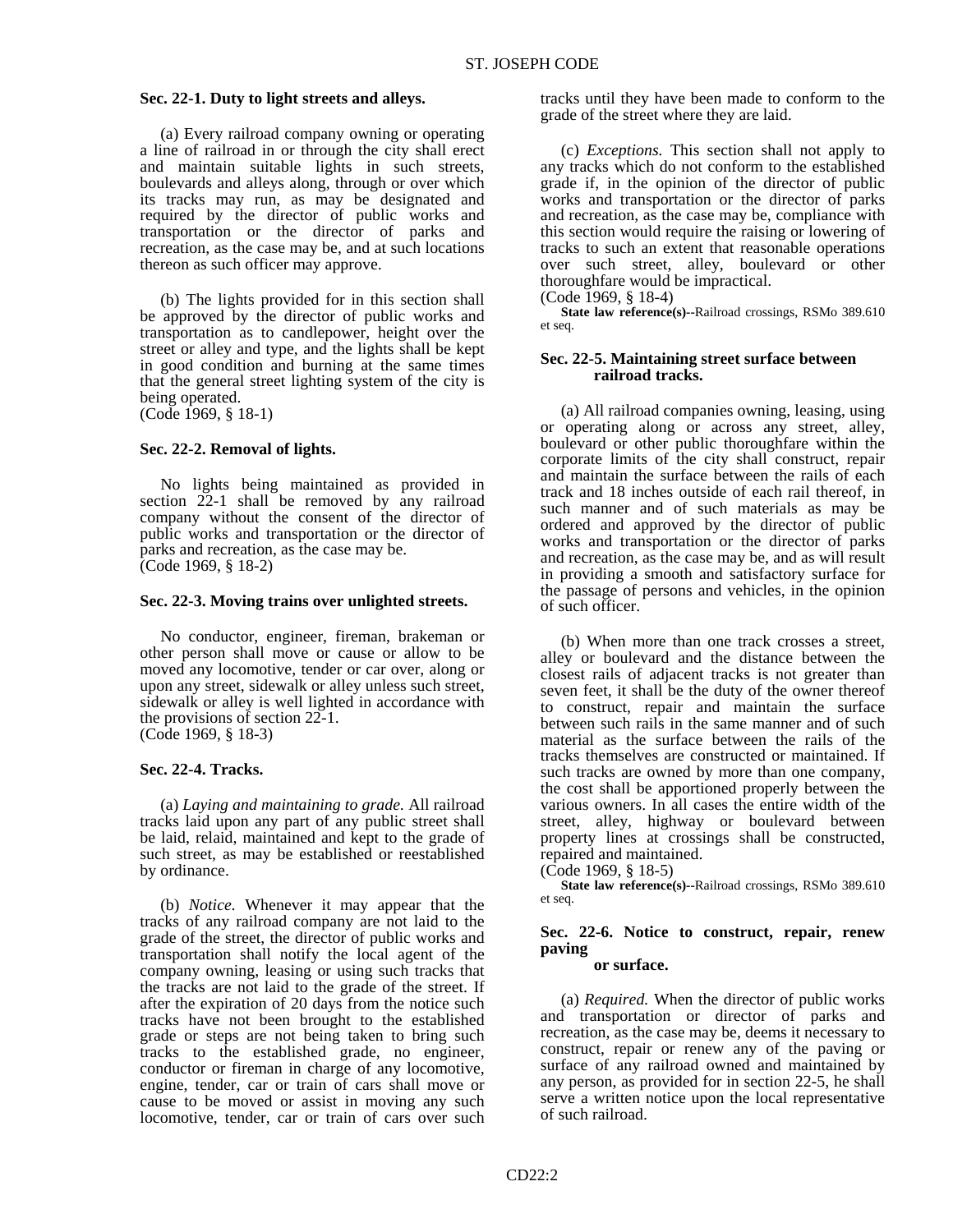et seq.

## **Sec. 22-1. Duty to light streets and alleys.**

 (a) Every railroad company owning or operating a line of railroad in or through the city shall erect and maintain suitable lights in such streets, boulevards and alleys along, through or over which its tracks may run, as may be designated and required by the director of public works and transportation or the director of parks and recreation, as the case may be, and at such locations thereon as such officer may approve.

 (b) The lights provided for in this section shall be approved by the director of public works and transportation as to candlepower, height over the street or alley and type, and the lights shall be kept in good condition and burning at the same times that the general street lighting system of the city is being operated.

(Code 1969, § 18-1)

### **Sec. 22-2. Removal of lights.**

 No lights being maintained as provided in section 22-1 shall be removed by any railroad company without the consent of the director of public works and transportation or the director of parks and recreation, as the case may be. (Code 1969, § 18-2)

#### **Sec. 22-3. Moving trains over unlighted streets.**

 No conductor, engineer, fireman, brakeman or other person shall move or cause or allow to be moved any locomotive, tender or car over, along or upon any street, sidewalk or alley unless such street, sidewalk or alley is well lighted in accordance with the provisions of section 22-1. (Code 1969, § 18-3)

#### **Sec. 22-4. Tracks.**

 (a) *Laying and maintaining to grade.* All railroad tracks laid upon any part of any public street shall be laid, relaid, maintained and kept to the grade of such street, as may be established or reestablished by ordinance.

 (b) *Notice.* Whenever it may appear that the tracks of any railroad company are not laid to the grade of the street, the director of public works and transportation shall notify the local agent of the company owning, leasing or using such tracks that the tracks are not laid to the grade of the street. If after the expiration of 20 days from the notice such tracks have not been brought to the established grade or steps are not being taken to bring such tracks to the established grade, no engineer, conductor or fireman in charge of any locomotive, engine, tender, car or train of cars shall move or cause to be moved or assist in moving any such locomotive, tender, car or train of cars over such

tracks until they have been made to conform to the grade of the street where they are laid.

 (c) *Exceptions.* This section shall not apply to any tracks which do not conform to the established grade if, in the opinion of the director of public works and transportation or the director of parks and recreation, as the case may be, compliance with this section would require the raising or lowering of tracks to such an extent that reasonable operations over such street, alley, boulevard or other thoroughfare would be impractical.

(Code 1969, § 18-4)  **State law reference(s)--**Railroad crossings, RSMo 389.610

## **Sec. 22-5. Maintaining street surface between railroad tracks.**

 (a) All railroad companies owning, leasing, using or operating along or across any street, alley, boulevard or other public thoroughfare within the corporate limits of the city shall construct, repair and maintain the surface between the rails of each track and 18 inches outside of each rail thereof, in such manner and of such materials as may be ordered and approved by the director of public works and transportation or the director of parks and recreation, as the case may be, and as will result in providing a smooth and satisfactory surface for the passage of persons and vehicles, in the opinion of such officer.

 (b) When more than one track crosses a street, alley or boulevard and the distance between the closest rails of adjacent tracks is not greater than seven feet, it shall be the duty of the owner thereof to construct, repair and maintain the surface between such rails in the same manner and of such material as the surface between the rails of the tracks themselves are constructed or maintained. If such tracks are owned by more than one company, the cost shall be apportioned properly between the various owners. In all cases the entire width of the street, alley, highway or boulevard between property lines at crossings shall be constructed, repaired and maintained.

 **State law reference(s)--**Railroad crossings, RSMo 389.610 et seq.

## **Sec. 22-6. Notice to construct, repair, renew paving**

## **or surface.**

 (a) *Required.* When the director of public works and transportation or director of parks and recreation, as the case may be, deems it necessary to construct, repair or renew any of the paving or surface of any railroad owned and maintained by any person, as provided for in section 22-5, he shall serve a written notice upon the local representative of such railroad.

<sup>(</sup>Code 1969, § 18-5)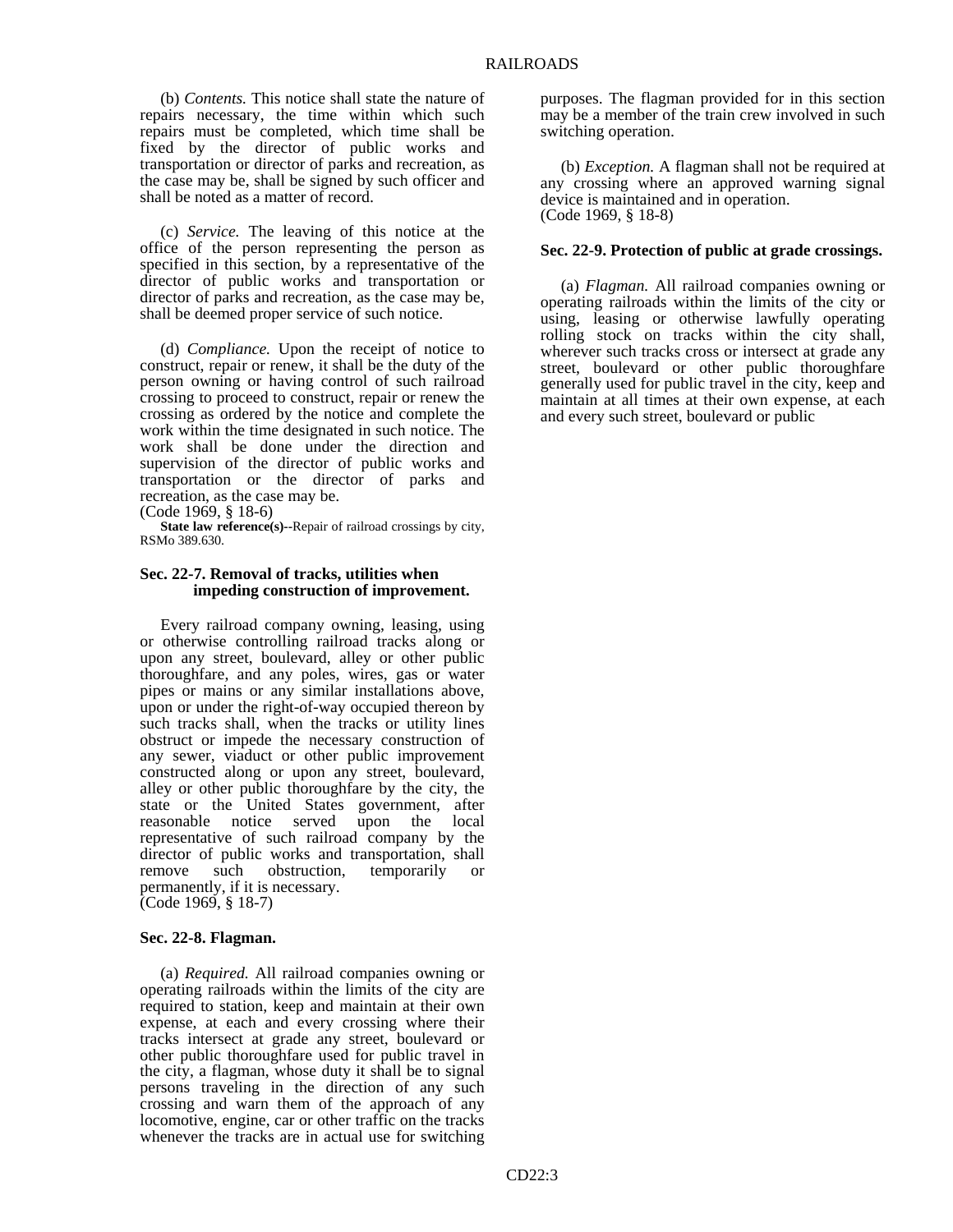(b) *Contents.* This notice shall state the nature of repairs necessary, the time within which such repairs must be completed, which time shall be fixed by the director of public works and transportation or director of parks and recreation, as the case may be, shall be signed by such officer and shall be noted as a matter of record.

 (c) *Service.* The leaving of this notice at the office of the person representing the person as specified in this section, by a representative of the director of public works and transportation or director of parks and recreation, as the case may be, shall be deemed proper service of such notice.

 (d) *Compliance.* Upon the receipt of notice to construct, repair or renew, it shall be the duty of the person owning or having control of such railroad crossing to proceed to construct, repair or renew the crossing as ordered by the notice and complete the work within the time designated in such notice. The work shall be done under the direction and supervision of the director of public works and transportation or the director of parks and recreation, as the case may be.

(Code 1969, § 18-6)

**State law reference(s)--Repair of railroad crossings by city,** RSMo 389.630.

## **Sec. 22-7. Removal of tracks, utilities when impeding construction of improvement.**

 Every railroad company owning, leasing, using or otherwise controlling railroad tracks along or upon any street, boulevard, alley or other public thoroughfare, and any poles, wires, gas or water pipes or mains or any similar installations above, upon or under the right-of-way occupied thereon by such tracks shall, when the tracks or utility lines obstruct or impede the necessary construction of any sewer, viaduct or other public improvement constructed along or upon any street, boulevard, alley or other public thoroughfare by the city, the state or the United States government, after reasonable notice served upon the local representative of such railroad company by the director of public works and transportation, shall remove such obstruction, temporarily or permanently, if it is necessary. (Code 1969, § 18-7)

#### **Sec. 22-8. Flagman.**

 (a) *Required.* All railroad companies owning or operating railroads within the limits of the city are required to station, keep and maintain at their own expense, at each and every crossing where their tracks intersect at grade any street, boulevard or other public thoroughfare used for public travel in the city, a flagman, whose duty it shall be to signal persons traveling in the direction of any such crossing and warn them of the approach of any locomotive, engine, car or other traffic on the tracks whenever the tracks are in actual use for switching

purposes. The flagman provided for in this section may be a member of the train crew involved in such switching operation.

 (b) *Exception.* A flagman shall not be required at any crossing where an approved warning signal device is maintained and in operation. (Code 1969, § 18-8)

### **Sec. 22-9. Protection of public at grade crossings.**

 (a) *Flagman.* All railroad companies owning or operating railroads within the limits of the city or using, leasing or otherwise lawfully operating rolling stock on tracks within the city shall, wherever such tracks cross or intersect at grade any street, boulevard or other public thoroughfare generally used for public travel in the city, keep and maintain at all times at their own expense, at each and every such street, boulevard or public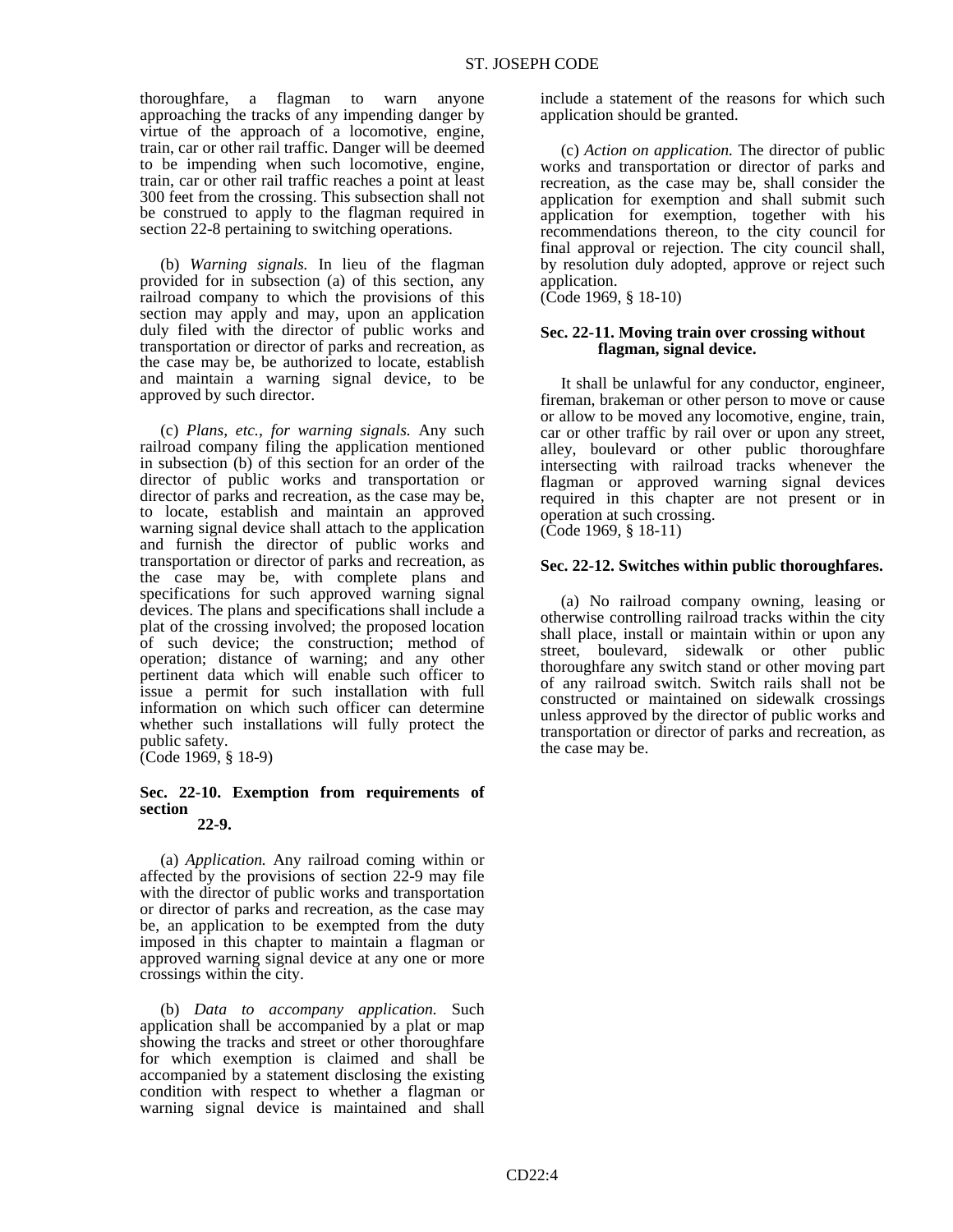thoroughfare, a flagman to warn anyone approaching the tracks of any impending danger by virtue of the approach of a locomotive, engine, train, car or other rail traffic. Danger will be deemed to be impending when such locomotive, engine, train, car or other rail traffic reaches a point at least 300 feet from the crossing. This subsection shall not be construed to apply to the flagman required in section 22-8 pertaining to switching operations.

 (b) *Warning signals.* In lieu of the flagman provided for in subsection (a) of this section, any railroad company to which the provisions of this section may apply and may, upon an application duly filed with the director of public works and transportation or director of parks and recreation, as the case may be, be authorized to locate, establish and maintain a warning signal device, to be approved by such director.

 (c) *Plans, etc., for warning signals.* Any such railroad company filing the application mentioned in subsection (b) of this section for an order of the director of public works and transportation or director of parks and recreation, as the case may be, to locate, establish and maintain an approved warning signal device shall attach to the application and furnish the director of public works and transportation or director of parks and recreation, as the case may be, with complete plans and specifications for such approved warning signal devices. The plans and specifications shall include a plat of the crossing involved; the proposed location of such device; the construction; method of operation; distance of warning; and any other pertinent data which will enable such officer to issue a permit for such installation with full information on which such officer can determine whether such installations will fully protect the public safety. (Code 1969, § 18-9)

# **Sec. 22-10. Exemption from requirements of section**

 **22-9.**

 (a) *Application.* Any railroad coming within or affected by the provisions of section 22-9 may file with the director of public works and transportation or director of parks and recreation, as the case may be, an application to be exempted from the duty imposed in this chapter to maintain a flagman or approved warning signal device at any one or more crossings within the city.

 (b) *Data to accompany application.* Such application shall be accompanied by a plat or map showing the tracks and street or other thoroughfare for which exemption is claimed and shall be accompanied by a statement disclosing the existing condition with respect to whether a flagman or warning signal device is maintained and shall include a statement of the reasons for which such application should be granted.

 (c) *Action on application.* The director of public works and transportation or director of parks and recreation, as the case may be, shall consider the application for exemption and shall submit such application for exemption, together with his recommendations thereon, to the city council for final approval or rejection. The city council shall, by resolution duly adopted, approve or reject such application.

(Code 1969, § 18-10)

## **Sec. 22-11. Moving train over crossing without flagman, signal device.**

 It shall be unlawful for any conductor, engineer, fireman, brakeman or other person to move or cause or allow to be moved any locomotive, engine, train, car or other traffic by rail over or upon any street, alley, boulevard or other public thoroughfare intersecting with railroad tracks whenever the flagman or approved warning signal devices required in this chapter are not present or in operation at such crossing. (Code 1969, § 18-11)

## **Sec. 22-12. Switches within public thoroughfares.**

 (a) No railroad company owning, leasing or otherwise controlling railroad tracks within the city shall place, install or maintain within or upon any street, boulevard, sidewalk or other public thoroughfare any switch stand or other moving part of any railroad switch. Switch rails shall not be constructed or maintained on sidewalk crossings unless approved by the director of public works and transportation or director of parks and recreation, as the case may be.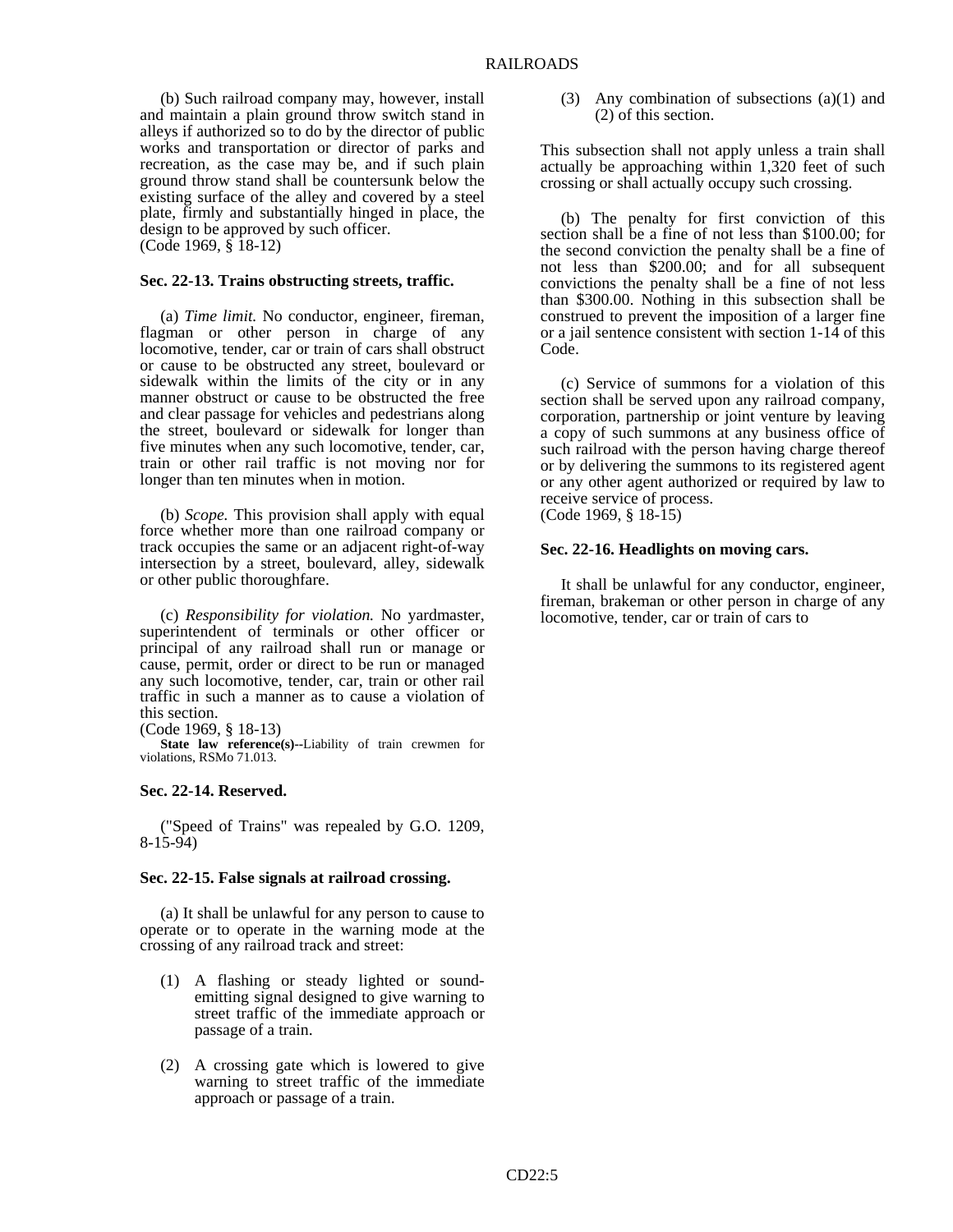(b) Such railroad company may, however, install and maintain a plain ground throw switch stand in alleys if authorized so to do by the director of public works and transportation or director of parks and recreation, as the case may be, and if such plain ground throw stand shall be countersunk below the existing surface of the alley and covered by a steel plate, firmly and substantially hinged in place, the design to be approved by such officer. (Code 1969, § 18-12)

#### **Sec. 22-13. Trains obstructing streets, traffic.**

 (a) *Time limit.* No conductor, engineer, fireman, flagman or other person in charge of any locomotive, tender, car or train of cars shall obstruct or cause to be obstructed any street, boulevard or sidewalk within the limits of the city or in any manner obstruct or cause to be obstructed the free and clear passage for vehicles and pedestrians along the street, boulevard or sidewalk for longer than five minutes when any such locomotive, tender, car, train or other rail traffic is not moving nor for longer than ten minutes when in motion.

 (b) *Scope.* This provision shall apply with equal force whether more than one railroad company or track occupies the same or an adjacent right-of-way intersection by a street, boulevard, alley, sidewalk or other public thoroughfare.

 (c) *Responsibility for violation.* No yardmaster, superintendent of terminals or other officer or principal of any railroad shall run or manage or cause, permit, order or direct to be run or managed any such locomotive, tender, car, train or other rail traffic in such a manner as to cause a violation of this section.

(Code 1969, § 18-13)

 **State law reference(s)--**Liability of train crewmen for violations, RSMo 71.013.

#### **Sec. 22-14. Reserved.**

 ("Speed of Trains" was repealed by G.O. 1209, 8-15-94)

#### **Sec. 22-15. False signals at railroad crossing.**

 (a) It shall be unlawful for any person to cause to operate or to operate in the warning mode at the crossing of any railroad track and street:

- (1) A flashing or steady lighted or soundemitting signal designed to give warning to street traffic of the immediate approach or passage of a train.
- (2) A crossing gate which is lowered to give warning to street traffic of the immediate approach or passage of a train.

 (3) Any combination of subsections (a)(1) and (2) of this section.

This subsection shall not apply unless a train shall actually be approaching within 1,320 feet of such crossing or shall actually occupy such crossing.

 (b) The penalty for first conviction of this section shall be a fine of not less than \$100.00; for the second conviction the penalty shall be a fine of not less than \$200.00; and for all subsequent convictions the penalty shall be a fine of not less than \$300.00. Nothing in this subsection shall be construed to prevent the imposition of a larger fine or a jail sentence consistent with section 1-14 of this Code.

 (c) Service of summons for a violation of this section shall be served upon any railroad company, corporation, partnership or joint venture by leaving a copy of such summons at any business office of such railroad with the person having charge thereof or by delivering the summons to its registered agent or any other agent authorized or required by law to receive service of process.

(Code 1969, § 18-15)

#### **Sec. 22-16. Headlights on moving cars.**

 It shall be unlawful for any conductor, engineer, fireman, brakeman or other person in charge of any locomotive, tender, car or train of cars to